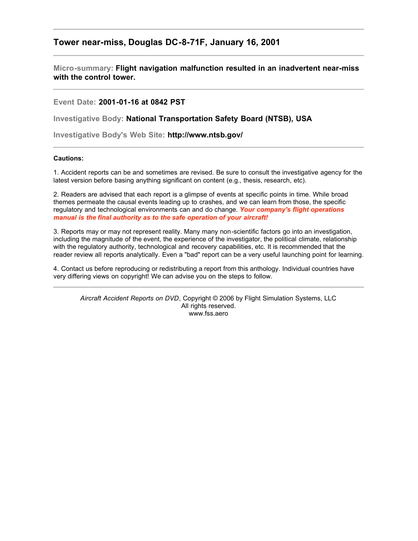## **Tower near-miss, Douglas DC-8-71F, January 16, 2001**

**Micro-summary: Flight navigation malfunction resulted in an inadvertent near-miss with the control tower.**

**Event Date: 2001-01-16 at 0842 PST**

**Investigative Body: National Transportation Safety Board (NTSB), USA**

**Investigative Body's Web Site: http://www.ntsb.gov/**

## **Cautions:**

1. Accident reports can be and sometimes are revised. Be sure to consult the investigative agency for the latest version before basing anything significant on content (e.g., thesis, research, etc).

2. Readers are advised that each report is a glimpse of events at specific points in time. While broad themes permeate the causal events leading up to crashes, and we can learn from those, the specific regulatory and technological environments can and do change. *Your company's flight operations manual is the final authority as to the safe operation of your aircraft!*

3. Reports may or may not represent reality. Many many non-scientific factors go into an investigation, including the magnitude of the event, the experience of the investigator, the political climate, relationship with the regulatory authority, technological and recovery capabilities, etc. It is recommended that the reader review all reports analytically. Even a "bad" report can be a very useful launching point for learning.

4. Contact us before reproducing or redistributing a report from this anthology. Individual countries have very differing views on copyright! We can advise you on the steps to follow.

*Aircraft Accident Reports on DVD*, Copyright © 2006 by Flight Simulation Systems, LLC All rights reserved. www.fss.aero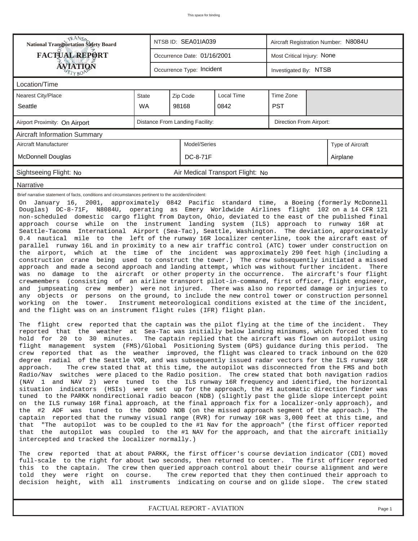| <b>National Transportation Safety Board</b>                                                                                                                                                                                                                                                                                                                                                                                                                                                                                                                                                                                                                                                                                                                                                                                                                                                                                                                                                                                                                                                                                                                                                                                                                                                                                                                                                                                                                                                                                                                                                                                                                                                                                                                                                                                                                                                                                                                                                                                                                                                                                                         |              | NTSB ID: SEA01IA039             |                                  | Aircraft Registration Number: N8084U |  |                  |  |  |
|-----------------------------------------------------------------------------------------------------------------------------------------------------------------------------------------------------------------------------------------------------------------------------------------------------------------------------------------------------------------------------------------------------------------------------------------------------------------------------------------------------------------------------------------------------------------------------------------------------------------------------------------------------------------------------------------------------------------------------------------------------------------------------------------------------------------------------------------------------------------------------------------------------------------------------------------------------------------------------------------------------------------------------------------------------------------------------------------------------------------------------------------------------------------------------------------------------------------------------------------------------------------------------------------------------------------------------------------------------------------------------------------------------------------------------------------------------------------------------------------------------------------------------------------------------------------------------------------------------------------------------------------------------------------------------------------------------------------------------------------------------------------------------------------------------------------------------------------------------------------------------------------------------------------------------------------------------------------------------------------------------------------------------------------------------------------------------------------------------------------------------------------------------|--------------|---------------------------------|----------------------------------|--------------------------------------|--|------------------|--|--|
| <b>FACTUAL REPORT</b>                                                                                                                                                                                                                                                                                                                                                                                                                                                                                                                                                                                                                                                                                                                                                                                                                                                                                                                                                                                                                                                                                                                                                                                                                                                                                                                                                                                                                                                                                                                                                                                                                                                                                                                                                                                                                                                                                                                                                                                                                                                                                                                               |              | Occurrence Date: 01/16/2001     |                                  | Most Critical Injury: None           |  |                  |  |  |
| <b>ÁVIATION</b><br>ETYBOR                                                                                                                                                                                                                                                                                                                                                                                                                                                                                                                                                                                                                                                                                                                                                                                                                                                                                                                                                                                                                                                                                                                                                                                                                                                                                                                                                                                                                                                                                                                                                                                                                                                                                                                                                                                                                                                                                                                                                                                                                                                                                                                           |              | Occurrence Type: Incident       |                                  | Investigated By: NTSB                |  |                  |  |  |
| Location/Time                                                                                                                                                                                                                                                                                                                                                                                                                                                                                                                                                                                                                                                                                                                                                                                                                                                                                                                                                                                                                                                                                                                                                                                                                                                                                                                                                                                                                                                                                                                                                                                                                                                                                                                                                                                                                                                                                                                                                                                                                                                                                                                                       |              |                                 |                                  |                                      |  |                  |  |  |
| Nearest City/Place                                                                                                                                                                                                                                                                                                                                                                                                                                                                                                                                                                                                                                                                                                                                                                                                                                                                                                                                                                                                                                                                                                                                                                                                                                                                                                                                                                                                                                                                                                                                                                                                                                                                                                                                                                                                                                                                                                                                                                                                                                                                                                                                  | <b>State</b> | Zip Code                        | Local Time                       | Time Zone                            |  |                  |  |  |
| Seattle                                                                                                                                                                                                                                                                                                                                                                                                                                                                                                                                                                                                                                                                                                                                                                                                                                                                                                                                                                                                                                                                                                                                                                                                                                                                                                                                                                                                                                                                                                                                                                                                                                                                                                                                                                                                                                                                                                                                                                                                                                                                                                                                             | <b>WA</b>    | 98168                           | 0842                             | <b>PST</b>                           |  |                  |  |  |
| Airport Proximity: On Airport                                                                                                                                                                                                                                                                                                                                                                                                                                                                                                                                                                                                                                                                                                                                                                                                                                                                                                                                                                                                                                                                                                                                                                                                                                                                                                                                                                                                                                                                                                                                                                                                                                                                                                                                                                                                                                                                                                                                                                                                                                                                                                                       |              | Distance From Landing Facility: |                                  | Direction From Airport:              |  |                  |  |  |
| <b>Aircraft Information Summary</b>                                                                                                                                                                                                                                                                                                                                                                                                                                                                                                                                                                                                                                                                                                                                                                                                                                                                                                                                                                                                                                                                                                                                                                                                                                                                                                                                                                                                                                                                                                                                                                                                                                                                                                                                                                                                                                                                                                                                                                                                                                                                                                                 |              |                                 |                                  |                                      |  |                  |  |  |
| Aircraft Manufacturer                                                                                                                                                                                                                                                                                                                                                                                                                                                                                                                                                                                                                                                                                                                                                                                                                                                                                                                                                                                                                                                                                                                                                                                                                                                                                                                                                                                                                                                                                                                                                                                                                                                                                                                                                                                                                                                                                                                                                                                                                                                                                                                               |              | Model/Series                    |                                  |                                      |  | Type of Aircraft |  |  |
| <b>McDonnell Douglas</b>                                                                                                                                                                                                                                                                                                                                                                                                                                                                                                                                                                                                                                                                                                                                                                                                                                                                                                                                                                                                                                                                                                                                                                                                                                                                                                                                                                                                                                                                                                                                                                                                                                                                                                                                                                                                                                                                                                                                                                                                                                                                                                                            |              | DC-8-71F                        |                                  |                                      |  | Airplane         |  |  |
| Sightseeing Flight: No                                                                                                                                                                                                                                                                                                                                                                                                                                                                                                                                                                                                                                                                                                                                                                                                                                                                                                                                                                                                                                                                                                                                                                                                                                                                                                                                                                                                                                                                                                                                                                                                                                                                                                                                                                                                                                                                                                                                                                                                                                                                                                                              |              |                                 | Air Medical Transport Flight: No |                                      |  |                  |  |  |
| Narrative                                                                                                                                                                                                                                                                                                                                                                                                                                                                                                                                                                                                                                                                                                                                                                                                                                                                                                                                                                                                                                                                                                                                                                                                                                                                                                                                                                                                                                                                                                                                                                                                                                                                                                                                                                                                                                                                                                                                                                                                                                                                                                                                           |              |                                 |                                  |                                      |  |                  |  |  |
| non-scheduled domestic cargo flight from Dayton, Ohio, deviated to the east of the published final<br>approach course while on the instrument landing system (ILS) approach to runway 16R at<br>Seattle-Tacoma International Airport (Sea-Tac), Seattle, Washington. The deviation, approximately<br>0.4 nautical mile to the left of the runway 16R localizer centerline, took the aircraft east of<br>parallel runway 16L and in proximity to a new air traffic control (ATC) tower under construction on<br>which at the time of the incident was approximately 290 feet high (including a<br>the airport,<br>construction crane being used to construct the tower.) The crew subsequently initiated a missed<br>approach and made a second approach and landing attempt, which was without further incident.<br>There<br>was no damage to the aircraft or other property in the occurrence. The aircraft's four flight<br>crewmembers (consisting of an airline transport pilot-in-command, first officer, flight engineer,<br>jumpseating crew member) were not injured. There was also no reported damage or injuries to<br>and<br>objects or<br>persons on the ground, to include the new control tower or construction personnel<br>any<br>working on the tower.<br>Instrument meteorological conditions existed at the time of the incident,<br>and the flight was on an instrument flight rules (IFR) flight plan.                                                                                                                                                                                                                                                                                                                                                                                                                                                                                                                                                                                                                                                                                                                        |              |                                 |                                  |                                      |  |                  |  |  |
| flight crew reported that the captain was the pilot flying at the time of the incident. They<br>The<br>reported that the weather at Sea-Tac was initially below landing minimums, which forced them to<br>hold  for  20  to  30  minutes.   The captain replied that the aircraft was flown on autopilot using<br>flight management system (FMS)/Global Positioning System (GPS) guidance during this period.<br>The<br>crew reported that as the weather improved, the flight was cleared to track inbound on the 020<br>degree radial of the Seattle VOR, and was subsequently issued radar vectors for the ILS runway 16R<br>The crew stated that at this time, the autopilot was disconnected from the FMS and both<br>approach.<br>Radio/Nav switches were placed to the Radio position. The crew stated that both navigation radios<br>(NAV 1 and NAV 2) were tuned to the ILS runway 16R frequency and identified, the horizontal<br>situation indicators (HSIs) were set up for the approach, the #1 automatic direction finder was<br>tuned to the PARKK nondirectional radio beacon (NDB) (slightly past the glide slope intercept point<br>on the ILS runway 16R final approach, at the final approach fix for a localizer-only approach), and<br>the #2 ADF was tuned to the DONDO NDB (on the missed approach segment of the approach.)<br>The<br>captain reported that the runway visual range (RVR) for runway 16R was 3,000 feet at this time, and<br>that<br>"The autopilot was to be coupled to the #1 Nav for the approach" (the first officer reported<br>that the autopilot was coupled to the #1 NAV for the approach, and that the aircraft initially<br>intercepted and tracked the localizer normally.)<br>The crew reported that at about PARKK, the first officer's course deviation indicator (CDI) moved<br>full-scale to the right for about two seconds, then returned to center. The first officer reported<br>this to the captain. The crew then queried approach control about their course alignment and were<br>The crew reported that they then continued their approach to<br>told they were right on course. |              |                                 |                                  |                                      |  |                  |  |  |

*FACTUAL REPORT - AVIATION Page 1*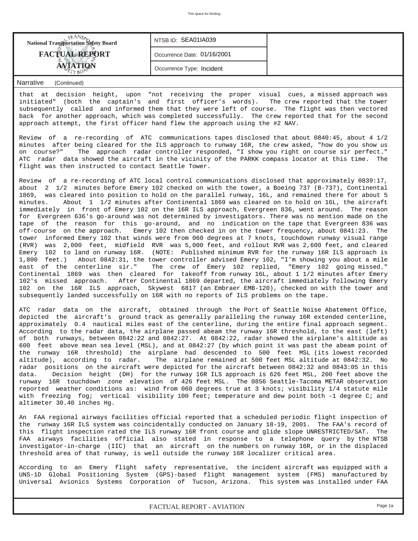| <b>National Transportation Safety Board</b> | NTSB ID: SEA01IA039         |  |
|---------------------------------------------|-----------------------------|--|
| <b>FACTUAL REPORT</b>                       | Occurrence Date: 01/16/2001 |  |
|                                             | Occurrence Type: Incident   |  |

## *Narrative (Continued)*

that at decision height, upon "not receiving the proper visual cues, a missed approach was initiated" (both the captain's and first officer's words). The crew reported that the tower subsequently called and informed them that they were left of course. The flight was then vectored back for another approach, which was completed successfully. The crew reported that for the second approach attempt, the first officer hand flew the approach using the #2 NAV.

Review of a re-recording of ATC communications tapes disclosed that about 0840:45, about 4 1/2 minutes after being cleared for the ILS approach to runway 16R, the crew asked, "how do you show us on course?" The approach radar controller responded, "I show you right on course sir perfect." ATC radar data showed the aircraft in the vicinity of the PARKK compass locator at this time. The flight was then instructed to contact Seattle Tower.

Review of a re-recording of ATC local control communications disclosed that approximately 0839:17, about 2 1/2 minutes before Emery 102 checked on with the tower, a Boeing 737 (B-737), Continental 1869, was cleared into position to hold on the parallel runway, 16L, and remained there for about 5 minutes. About 1 1/2 minutes after Continental 1869 was cleared on to hold on 16L, the aircraft immediately in front of Emery 102 on the 16R ILS approach, Evergreen 836, went around. The reason for Evergreen 636's go-around was not determined by investigators. There was no mention made on the tape of the reason for this go-around, and no indication on the tape that Evergreen 836 was off-course on the approach. Emery 102 then checked in on the tower frequency, about 0841:23. The tower informed Emery 102 that winds were from 060 degrees at 7 knots, touchdown runway visual range (RVR) was 2,000 feet, midfield RVR was 5,000 feet, and rollout RVR was 2,600 feet, and cleared Emery 102 to land on runway 16R. (NOTE: Published minimum RVR for the runway 16R ILS approach is 1,800 feet.) About 0842:31, the tower controller advised Emery 102, "I'm showing you about a mile east of the centerline sir." The crew of Emery 102 replied, "Emery 102 going missed." Continental 1869 was then cleared for takeoff from runway 16L, about 1 1/2 minutes after Emery 102's missed approach. After Continental 1869 departed, the aircraft immediately following Emery 102 on the 16R ILS approach, Skywest 6817 (an Embraer EMB-120), checked on with the tower and subsequently landed successfully on 16R with no reports of ILS problems on the tape.

ATC radar data on the aircraft, obtained through the Port of Seattle Noise Abatement Office, depicted the aircraft's ground track as generally paralleling the runway 16R extended centerline, approximately 0.4 nautical miles east of the centerline, during the entire final approach segment. According to the radar data, the airplane passed abeam the runway 16R threshold, to the east (left) of both runways, between 0842:22 and 0842:27. At 0842:22, radar showed the airplane's altitude as 600 feet above mean sea level (MSL), and at 0842:27 (by which point it was past the abeam point of the runway 16R threshold) the airplane had descended to 500 feet MSL (its lowest recorded altitude), according to radar. The airplane remained at 500 feet MSL altitude at 0842:32. No radar positions on the aircraft were depicted for the aircraft between 0842:32 and 0843:05 in this data. Decision height (DH) for the runway 16R ILS approach is 626 feet MSL, 200 feet above the runway 16R touchdown zone elevation of 426 feet MSL. The 0856 Seattle-Tacoma METAR observation reported weather conditions as: wind from 060 degrees true at 3 knots; visibility 1/4 statute mile with freezing fog; vertical visibility 100 feet; temperature and dew point both -1 degree C; and altimeter 30.40 inches Hg.

An FAA regional airways facilities official reported that a scheduled periodic flight inspection of the runway 16R ILS system was coincidentally conducted on January 18-19, 2001. The FAA's record of this flight inspection rated the ILS runway 16R front course and glide slope UNRESTRICTED/SAT. The FAA airways facilities official also stated in response to a telephone query by the NTSB investigator-in-charge (IIC) that an aircraft on the numbers on runway 16R, or in the displaced threshold area of that runway, is well outside the runway 16R localizer critical area.

According to an Emery flight safety representative, the incident aircraft was equipped with a UNS-1D Global Positioning System (GPS)-based flight management system (FMS) manufactured by Universal Avionics Systems Corporation of Tucson, Arizona. This system was installed under FAA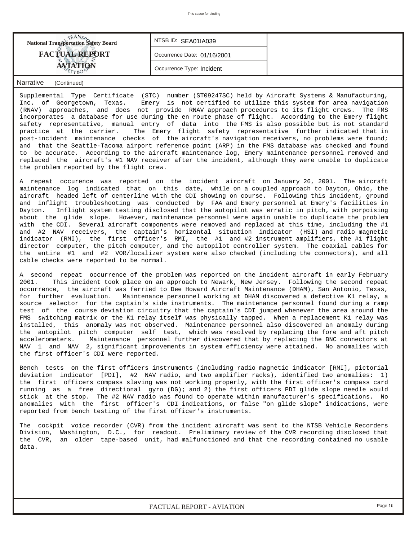| <b>National Transportation Safety Board</b> | NTSBID: SEA01IA039          |  |
|---------------------------------------------|-----------------------------|--|
| <b>FACTUAL REPORT</b>                       | Occurrence Date: 01/16/2001 |  |
|                                             | Occurrence Type: Incident   |  |

## *Narrative (Continued)*

Supplemental Type Certificate (STC) number (ST09247SC) held by Aircraft Systems & Manufacturing, Inc. of Georgetown, Texas. Emery is not certified to utilize this system for area navigation (RNAV) approaches, and does not provide RNAV approach procedures to its flight crews. The FMS incorporates a database for use during the en route phase of flight. According to the Emery flight safety representative, manual entry of data into the FMS is also possible but is not standard practice at the carrier. The Emery flight safety representative further indicated that in post-incident maintenance checks of the aircraft's navigation receivers, no problems were found; and that the Seattle-Tacoma airport reference point (ARP) in the FMS database was checked and found to be accurate. According to the aircraft maintenance log, Emery maintenance personnel removed and replaced the aircraft's #1 NAV receiver after the incident, although they were unable to duplicate the problem reported by the flight crew.

A repeat occurence was reported on the incident aircraft on January 26, 2001. The aircraft maintenance log indicated that on this date, while on a coupled approach to Dayton, Ohio, the aircraft headed left of centerline with the CDI showing on course. Following this incident, ground and inflight troubleshooting was conducted by FAA and Emery personnel at Emery's facilities in Dayton. Inflight system testing disclosed that the autopilot was erratic in pitch, with porpoising about the glide slope. However, maintenance personnel were again unable to duplicate the problem with the CDI. Several aircraft components were removed and replaced at this time, including the #1 and #2 NAV receivers, the captain's horizontal situation indicator (HSI) and radio magnetic indicator (RMI), the first officer's RMI, the #1 and #2 instrument amplifiers, the #1 flight director computer, the pitch computer, and the autopilot controller system. The coaxial cables for the entire #1 and #2 VOR/localizer system were also checked (including the connectors), and all cable checks were reported to be normal.

A second repeat occurrence of the problem was reported on the incident aircraft in early February 2001. This incident took place on an approach to Newark, New Jersey. Following the second repeat occurrence, the aircraft was ferried to Dee Howard Aircraft Maintenance (DHAM), San Antonio, Texas, for further evaluation. Maintenance personnel working at DHAM discovered a defective K1 relay, a source selector for the captain's side instruments. The maintenance personnel found during a ramp test of the course deviation circuitry that the captain's CDI jumped whenever the area around the FMS switching matrix or the K1 relay itself was physically tapped. When a replacement K1 relay was installed, this anomaly was not observed. Maintenance personnel also discovered an anomaly during the autopilot pitch computer self test, which was resolved by replacing the fore and aft pitch accelerometers. Maintenance personnel further discovered that by replacing the BNC connectors at NAV 1 and NAV 2, significant improvements in system efficiency were attained. No anomalies with the first officer's CDI were reported.

Bench tests on the first officers instruments (including radio magnetic indicator [RMI], pictorial deviation indicator [PDI], #2 NAV radio, and two amplifier racks), identified two anomalies: 1) the first officers compass slaving was not working properly, with the first officer's compass card running as a free directional gyro (DG); and 2) the first officers PDI glide slope needle would stick at the stop. The #2 NAV radio was found to operate within manufacturer's specifications. No anomalies with the first officer's CDI indications, or false "on glide slope" indications, were reported from bench testing of the first officer's instruments.

The cockpit voice recorder (CVR) from the incident aircraft was sent to the NTSB Vehicle Recorders Division, Washington, D.C., for readout. Preliminary review of the CVR recording disclosed that the CVR, an older tape-based unit, had malfunctioned and that the recording contained no usable data.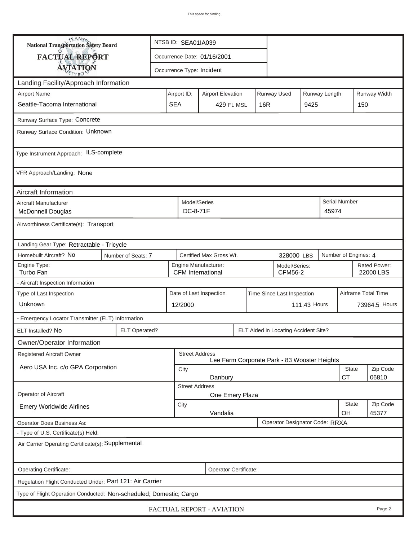| <b>National Transportation Safety Board</b>                        |                      | NTSB ID: SEA01IA039                                                      |                                                       |  |                                              |  |                        |                           |                      |  |  |
|--------------------------------------------------------------------|----------------------|--------------------------------------------------------------------------|-------------------------------------------------------|--|----------------------------------------------|--|------------------------|---------------------------|----------------------|--|--|
| FACTUAL REPORT                                                     |                      | Occurrence Date: 01/16/2001                                              |                                                       |  |                                              |  |                        |                           |                      |  |  |
| <b>AVIATION</b>                                                    |                      |                                                                          | Occurrence Type: Incident                             |  |                                              |  |                        |                           |                      |  |  |
| Landing Facility/Approach Information                              |                      |                                                                          |                                                       |  |                                              |  |                        |                           |                      |  |  |
| <b>Airport Name</b>                                                | Airport ID:          | Runway Width<br>Runway Used<br>Runway Length<br><b>Airport Elevation</b> |                                                       |  |                                              |  |                        |                           |                      |  |  |
| Seattle-Tacoma International                                       | <b>SEA</b>           | 429 Ft. MSL                                                              | 16R                                                   |  | 9425                                         |  | 150                    |                           |                      |  |  |
| Runway Surface Type: Concrete                                      |                      |                                                                          |                                                       |  |                                              |  |                        |                           |                      |  |  |
| Runway Surface Condition: Unknown                                  |                      |                                                                          |                                                       |  |                                              |  |                        |                           |                      |  |  |
| Type Instrument Approach: ILS-complete                             |                      |                                                                          |                                                       |  |                                              |  |                        |                           |                      |  |  |
| VFR Approach/Landing: None                                         |                      |                                                                          |                                                       |  |                                              |  |                        |                           |                      |  |  |
| Aircraft Information                                               |                      |                                                                          |                                                       |  |                                              |  |                        |                           |                      |  |  |
| Aircraft Manufacturer<br><b>McDonnell Douglas</b>                  |                      |                                                                          | Model/Series<br>DC-8-71F                              |  |                                              |  | Serial Number<br>45974 |                           |                      |  |  |
| Airworthiness Certificate(s): Transport                            |                      |                                                                          |                                                       |  |                                              |  |                        |                           |                      |  |  |
| Landing Gear Type: Retractable - Tricycle                          |                      |                                                                          |                                                       |  |                                              |  |                        |                           |                      |  |  |
| Homebuilt Aircraft? No                                             | Number of Seats: 7   |                                                                          | Certified Max Gross Wt.<br>328000 LBS                 |  |                                              |  |                        |                           | Number of Engines: 4 |  |  |
| Engine Type:<br>Turbo Fan                                          |                      |                                                                          | Engine Manufacturer:<br><b>CFM</b> International      |  | Model/Series:<br><b>CFM56-2</b>              |  |                        | Rated Power:<br>22000 LBS |                      |  |  |
| - Aircraft Inspection Information                                  |                      |                                                                          |                                                       |  |                                              |  |                        |                           |                      |  |  |
| Type of Last Inspection                                            |                      |                                                                          | Date of Last Inspection<br>Time Since Last Inspection |  |                                              |  |                        |                           | Airframe Total Time  |  |  |
| Unknown                                                            |                      |                                                                          | 111.43 Hours<br>12/2000                               |  |                                              |  |                        |                           | 73964.5 Hours        |  |  |
| - Emergency Locator Transmitter (ELT) Information                  |                      |                                                                          |                                                       |  |                                              |  |                        |                           |                      |  |  |
| ELT Installed? No                                                  | <b>ELT Operated?</b> |                                                                          |                                                       |  | ELT Aided in Locating Accident Site?         |  |                        |                           |                      |  |  |
| Owner/Operator Information                                         |                      |                                                                          |                                                       |  |                                              |  |                        |                           |                      |  |  |
| Registered Aircraft Owner                                          |                      |                                                                          | <b>Street Address</b>                                 |  | Lee Farm Corporate Park - 83 Wooster Heights |  |                        |                           |                      |  |  |
| Aero USA Inc. c/o GPA Corporation                                  |                      | City                                                                     | State<br>Zip Code                                     |  |                                              |  |                        |                           |                      |  |  |
|                                                                    |                      | <b>CT</b><br>06810<br>Danbury<br><b>Street Address</b>                   |                                                       |  |                                              |  |                        |                           |                      |  |  |
| Operator of Aircraft                                               |                      | One Emery Plaza                                                          |                                                       |  |                                              |  |                        |                           |                      |  |  |
| <b>Emery Worldwide Airlines</b>                                    |                      | City                                                                     | <b>State</b><br>Vandalia<br>OH                        |  |                                              |  |                        |                           | Zip Code<br>45377    |  |  |
| Operator Does Business As:                                         |                      |                                                                          |                                                       |  | Operator Designator Code: RRXA               |  |                        |                           |                      |  |  |
| - Type of U.S. Certificate(s) Held:                                |                      |                                                                          |                                                       |  |                                              |  |                        |                           |                      |  |  |
| Air Carrier Operating Certificate(s): Supplemental                 |                      |                                                                          |                                                       |  |                                              |  |                        |                           |                      |  |  |
| Operating Certificate:                                             |                      |                                                                          | Operator Certificate:                                 |  |                                              |  |                        |                           |                      |  |  |
| Regulation Flight Conducted Under: Part 121: Air Carrier           |                      |                                                                          |                                                       |  |                                              |  |                        |                           |                      |  |  |
| Type of Flight Operation Conducted: Non-scheduled; Domestic; Cargo |                      |                                                                          |                                                       |  |                                              |  |                        |                           |                      |  |  |
| FACTUAL REPORT - AVIATION<br>Page 2                                |                      |                                                                          |                                                       |  |                                              |  |                        |                           |                      |  |  |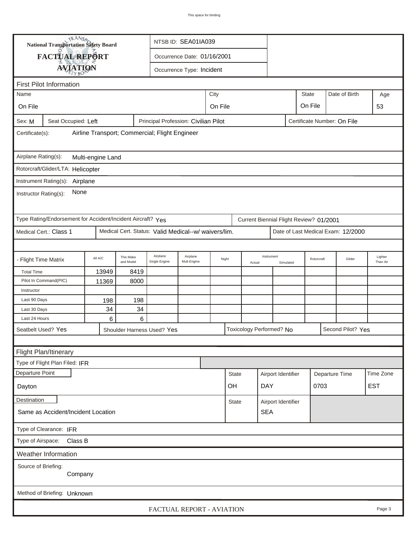|                                                                                                      |                                                             | <b>National Transportation Safety Board</b><br>NTSB ID: SEA01IA039 |                        |                                                      |                             |         |                    |                          |                    |            |                                         |                                    |                     |
|------------------------------------------------------------------------------------------------------|-------------------------------------------------------------|--------------------------------------------------------------------|------------------------|------------------------------------------------------|-----------------------------|---------|--------------------|--------------------------|--------------------|------------|-----------------------------------------|------------------------------------|---------------------|
|                                                                                                      | FACTUAL REPORT                                              |                                                                    |                        |                                                      | Occurrence Date: 01/16/2001 |         |                    |                          |                    |            |                                         |                                    |                     |
|                                                                                                      |                                                             |                                                                    |                        |                                                      |                             |         |                    |                          |                    |            |                                         |                                    |                     |
|                                                                                                      | <b>AVIATION</b><br>Occurrence Type: Incident                |                                                                    |                        |                                                      |                             |         |                    |                          |                    |            |                                         |                                    |                     |
| <b>First Pilot Information</b>                                                                       |                                                             |                                                                    |                        |                                                      |                             |         |                    |                          |                    |            |                                         |                                    |                     |
| Name                                                                                                 |                                                             |                                                                    |                        |                                                      |                             | City    |                    |                          |                    |            | <b>State</b>                            | Date of Birth                      | Age                 |
| On File                                                                                              |                                                             |                                                                    |                        |                                                      |                             | On File |                    |                          |                    |            | On File                                 |                                    | 53                  |
| Seat Occupied: Left<br>Principal Profession: Civilian Pilot<br>Certificate Number: On File<br>Sex: M |                                                             |                                                                    |                        |                                                      |                             |         |                    |                          |                    |            |                                         |                                    |                     |
| Airline Transport; Commercial; Flight Engineer<br>Certificate(s):                                    |                                                             |                                                                    |                        |                                                      |                             |         |                    |                          |                    |            |                                         |                                    |                     |
| Airplane Rating(s):<br>Multi-engine Land                                                             |                                                             |                                                                    |                        |                                                      |                             |         |                    |                          |                    |            |                                         |                                    |                     |
|                                                                                                      | Rotorcraft/Glider/LTA: Helicopter                           |                                                                    |                        |                                                      |                             |         |                    |                          |                    |            |                                         |                                    |                     |
|                                                                                                      | Instrument Rating(s): Airplane                              |                                                                    |                        |                                                      |                             |         |                    |                          |                    |            |                                         |                                    |                     |
| Instructor Rating(s):                                                                                | None                                                        |                                                                    |                        |                                                      |                             |         |                    |                          |                    |            |                                         |                                    |                     |
|                                                                                                      | Type Rating/Endorsement for Accident/Incident Aircraft? Yes |                                                                    |                        |                                                      |                             |         |                    |                          |                    |            | Current Biennial Flight Review? 01/2001 |                                    |                     |
|                                                                                                      | Medical Cert.: Class 1                                      |                                                                    |                        | Medical Cert. Status: Valid Medical--w/ waivers/lim. |                             |         |                    |                          |                    |            |                                         | Date of Last Medical Exam: 12/2000 |                     |
|                                                                                                      |                                                             |                                                                    |                        |                                                      |                             |         |                    |                          |                    |            |                                         |                                    |                     |
| - Flight Time Matrix                                                                                 |                                                             | All A/C                                                            | This Make<br>and Model | Airplane<br>Single Engine                            | Airplane<br>Mult-Engine     | Night   |                    | Actual                   | Instrument         | Simulated  |                                         | Glider<br>Rotorcraft               | Lighter<br>Than Air |
| <b>Total Time</b>                                                                                    |                                                             | 13949                                                              | 8419                   |                                                      |                             |         |                    |                          |                    |            |                                         |                                    |                     |
|                                                                                                      | Pilot In Command(PIC)                                       | 11369                                                              | 8000                   |                                                      |                             |         |                    |                          |                    |            |                                         |                                    |                     |
| Instructor                                                                                           |                                                             |                                                                    |                        |                                                      |                             |         |                    |                          |                    |            |                                         |                                    |                     |
| Last 90 Days                                                                                         |                                                             | 198                                                                | 198                    |                                                      |                             |         |                    |                          |                    |            |                                         |                                    |                     |
| Last 30 Days                                                                                         |                                                             | 34                                                                 | 34                     |                                                      |                             |         |                    |                          |                    |            |                                         |                                    |                     |
| Last 24 Hours                                                                                        |                                                             | 6                                                                  | 6                      |                                                      |                             |         |                    |                          |                    |            |                                         |                                    |                     |
| Seatbelt Used? Yes                                                                                   |                                                             |                                                                    |                        | Shoulder Harness Used? Yes                           |                             |         |                    | Toxicology Performed? No |                    |            |                                         | Second Pilot? Yes                  |                     |
|                                                                                                      |                                                             |                                                                    |                        |                                                      |                             |         |                    |                          |                    |            |                                         |                                    |                     |
|                                                                                                      | Flight Plan/Itinerary                                       |                                                                    |                        |                                                      |                             |         |                    |                          |                    |            |                                         |                                    |                     |
|                                                                                                      | Type of Flight Plan Filed: IFR                              |                                                                    |                        |                                                      |                             |         |                    |                          |                    |            |                                         |                                    |                     |
| Departure Point                                                                                      |                                                             |                                                                    |                        |                                                      |                             |         | <b>State</b>       |                          | Airport Identifier |            |                                         | Time Zone<br>Departure Time        |                     |
| Dayton                                                                                               | OH                                                          |                                                                    |                        |                                                      |                             |         | DAY<br>0703        |                          |                    | <b>EST</b> |                                         |                                    |                     |
| <b>Destination</b><br><b>State</b>                                                                   |                                                             |                                                                    |                        |                                                      |                             |         | Airport Identifier |                          |                    |            |                                         |                                    |                     |
|                                                                                                      | Same as Accident/Incident Location                          |                                                                    |                        |                                                      |                             |         |                    |                          | <b>SEA</b>         |            |                                         |                                    |                     |
| Type of Clearance: IFR                                                                               |                                                             |                                                                    |                        |                                                      |                             |         |                    |                          |                    |            |                                         |                                    |                     |
| Type of Airspace:<br>Class B                                                                         |                                                             |                                                                    |                        |                                                      |                             |         |                    |                          |                    |            |                                         |                                    |                     |
| Weather Information                                                                                  |                                                             |                                                                    |                        |                                                      |                             |         |                    |                          |                    |            |                                         |                                    |                     |
| Source of Briefing:<br>Company                                                                       |                                                             |                                                                    |                        |                                                      |                             |         |                    |                          |                    |            |                                         |                                    |                     |
|                                                                                                      | Method of Briefing: Unknown                                 |                                                                    |                        |                                                      |                             |         |                    |                          |                    |            |                                         |                                    |                     |
| FACTUAL REPORT - AVIATION<br>Page 3                                                                  |                                                             |                                                                    |                        |                                                      |                             |         |                    |                          |                    |            |                                         |                                    |                     |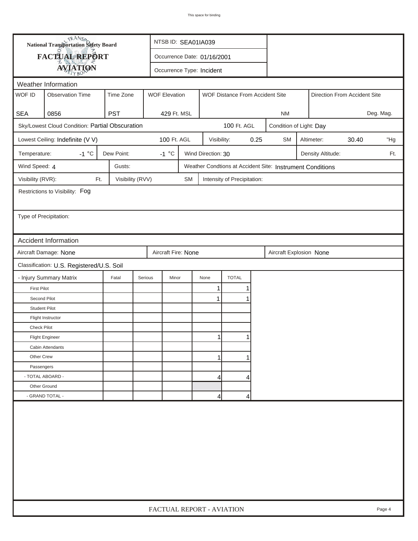|                        | <b>National Transportation Safety Board</b>     |                  |                      | NTSB ID: SEA01IA039         |                    |                                 |      |                                                           |                              |                   |  |     |
|------------------------|-------------------------------------------------|------------------|----------------------|-----------------------------|--------------------|---------------------------------|------|-----------------------------------------------------------|------------------------------|-------------------|--|-----|
|                        | FACTUAL REPORT                                  |                  |                      | Occurrence Date: 01/16/2001 |                    |                                 |      |                                                           |                              |                   |  |     |
|                        | <b>AVIATION</b>                                 |                  |                      | Occurrence Type: Incident   |                    |                                 |      |                                                           |                              |                   |  |     |
| Weather Information    |                                                 |                  |                      |                             |                    |                                 |      |                                                           |                              |                   |  |     |
| WOF ID                 | <b>Observation Time</b>                         | Time Zone        | <b>WOF Elevation</b> |                             |                    | WOF Distance From Accident Site |      |                                                           | Direction From Accident Site |                   |  |     |
|                        |                                                 |                  |                      |                             |                    |                                 |      |                                                           |                              |                   |  |     |
| <b>SEA</b>             | 0856                                            | <b>PST</b>       | 429 Ft. MSL          |                             |                    |                                 |      | Deg. Mag.<br><b>NM</b>                                    |                              |                   |  |     |
|                        | Sky/Lowest Cloud Condition: Partial Obscuration |                  |                      |                             |                    | 100 Ft. AGL                     |      |                                                           | Condition of Light: Day      |                   |  |     |
|                        | Lowest Ceiling: Indefinite (V V)                |                  | 100 Ft. AGL          |                             | Visibility:        |                                 | 0.25 | <b>SM</b>                                                 | Altimeter:<br>30.40<br>"Hg   |                   |  |     |
| Temperature:           | $-1 °C$                                         | Dew Point:       | $-1$ °C              |                             | Wind Direction: 30 |                                 |      |                                                           |                              | Density Altitude: |  | Ft. |
| Wind Speed: 4          |                                                 | Gusts:           |                      |                             |                    |                                 |      | Weather Condtions at Accident Site: Instrument Conditions |                              |                   |  |     |
| Visibility (RVR):      | Ft.                                             | Visibility (RVV) |                      | <b>SM</b>                   |                    | Intensity of Precipitation:     |      |                                                           |                              |                   |  |     |
|                        | Restrictions to Visibility: Fog                 |                  |                      |                             |                    |                                 |      |                                                           |                              |                   |  |     |
|                        |                                                 |                  |                      |                             |                    |                                 |      |                                                           |                              |                   |  |     |
| Type of Precipitation: |                                                 |                  |                      |                             |                    |                                 |      |                                                           |                              |                   |  |     |
|                        |                                                 |                  |                      |                             |                    |                                 |      |                                                           |                              |                   |  |     |
|                        | <b>Accident Information</b>                     |                  |                      |                             |                    |                                 |      |                                                           |                              |                   |  |     |
|                        | Aircraft Damage: None                           |                  | Aircraft Fire: None  |                             |                    |                                 |      | Aircraft Explosion None                                   |                              |                   |  |     |
|                        | Classification: U.S. Registered/U.S. Soil       |                  |                      |                             |                    |                                 |      |                                                           |                              |                   |  |     |
|                        | - Injury Summary Matrix                         | Fatal            | Serious<br>Minor     |                             | None               | <b>TOTAL</b>                    |      |                                                           |                              |                   |  |     |
| <b>First Pilot</b>     |                                                 |                  |                      |                             | 1                  | 1                               |      |                                                           |                              |                   |  |     |
| Second Pilot           |                                                 |                  |                      |                             | 1                  | 1                               |      |                                                           |                              |                   |  |     |
| <b>Student Pilot</b>   |                                                 |                  |                      |                             |                    |                                 |      |                                                           |                              |                   |  |     |
|                        | Flight Instructor                               |                  |                      |                             |                    |                                 |      |                                                           |                              |                   |  |     |
| <b>Check Pilot</b>     |                                                 |                  |                      |                             |                    |                                 |      |                                                           |                              |                   |  |     |
|                        | <b>Flight Engineer</b>                          |                  |                      |                             | 1                  |                                 |      |                                                           |                              |                   |  |     |
|                        | Cabin Attendants                                |                  |                      |                             |                    |                                 |      |                                                           |                              |                   |  |     |
| Other Crew             |                                                 |                  |                      |                             | 1                  |                                 |      |                                                           |                              |                   |  |     |
| Passengers             |                                                 |                  |                      |                             |                    |                                 |      |                                                           |                              |                   |  |     |
| - TOTAL ABOARD -       |                                                 |                  |                      |                             | 4                  | 4                               |      |                                                           |                              |                   |  |     |
| Other Ground           |                                                 |                  |                      |                             |                    |                                 |      |                                                           |                              |                   |  |     |
|                        | - GRAND TOTAL -                                 |                  |                      |                             | 4                  | 4                               |      |                                                           |                              |                   |  |     |
|                        |                                                 |                  |                      |                             |                    |                                 |      |                                                           |                              |                   |  |     |
|                        | FACTUAL REPORT - AVIATION<br>Page 4             |                  |                      |                             |                    |                                 |      |                                                           |                              |                   |  |     |